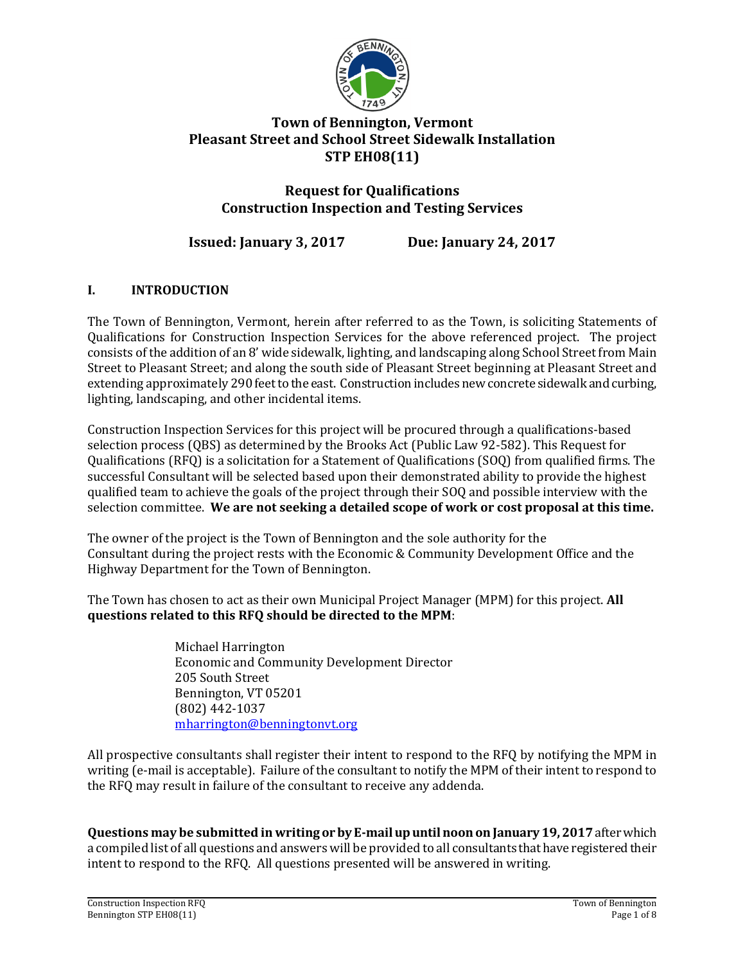

# **Town of Bennington, Vermont Pleasant Street and School Street Sidewalk Installation STP EH08(11)**

# **Request for Qualifications Construction Inspection and Testing Services**

# **Issued: January 3, 2017 Due: January 24, 2017**

# **I. INTRODUCTION**

The Town of Bennington, Vermont, herein after referred to as the Town, is soliciting Statements of Qualifications for Construction Inspection Services for the above referenced project. The project consists of the addition of an 8' wide sidewalk, lighting, and landscaping along School Street from Main Street to Pleasant Street; and along the south side of Pleasant Street beginning at Pleasant Street and extending approximately 290 feet to the east. Construction includes new concrete sidewalk and curbing, lighting, landscaping, and other incidental items.

Construction Inspection Services for this project will be procured through a qualifications-based selection process (QBS) as determined by the Brooks Act (Public Law 92-582). This Request for Qualifications (RFQ) is a solicitation for a Statement of Qualifications (SOQ) from qualified firms. The successful Consultant will be selected based upon their demonstrated ability to provide the highest qualified team to achieve the goals of the project through their SOQ and possible interview with the selection committee. **We are not seeking a detailed scope of work or cost proposal at this time.**

The owner of the project is the Town of Bennington and the sole authority for the Consultant during the project rests with the Economic & Community Development Office and the Highway Department for the Town of Bennington.

The Town has chosen to act as their own Municipal Project Manager (MPM) for this project. **All questions related to this RFQ should be directed to the MPM**:

> Michael Harrington Economic and Community Development Director 205 South Street Bennington, VT 05201 (802) 442-1037 [mharrington@benningtonvt.org](mailto:Andy@LDengineering.com)

All prospective consultants shall register their intent to respond to the RFQ by notifying the MPM in writing (e-mail is acceptable). Failure of the consultant to notify the MPM of their intent to respond to the RFQ may result in failure of the consultant to receive any addenda.

**Questions may be submitted in writing or by E-mail up until noon on January 19, 2017**after which a compiled list of all questions and answers will be provided to all consultants that have registered their intent to respond to the RFQ. All questions presented will be answered in writing.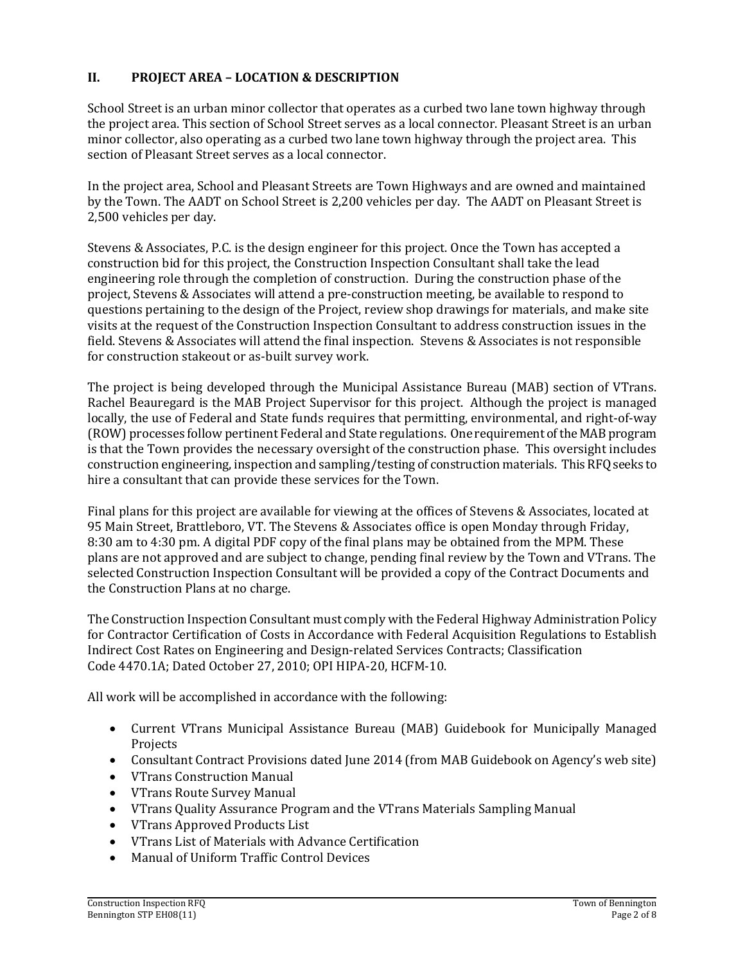# **II. PROJECT AREA – LOCATION & DESCRIPTION**

School Street is an urban minor collector that operates as a curbed two lane town highway through the project area. This section of School Street serves as a local connector. Pleasant Street is an urban minor collector, also operating as a curbed two lane town highway through the project area. This section of Pleasant Street serves as a local connector.

In the project area, School and Pleasant Streets are Town Highways and are owned and maintained by the Town. The AADT on School Street is 2,200 vehicles per day. The AADT on Pleasant Street is 2,500 vehicles per day.

Stevens & Associates, P.C. is the design engineer for this project. Once the Town has accepted a construction bid for this project, the Construction Inspection Consultant shall take the lead engineering role through the completion of construction. During the construction phase of the project, Stevens & Associates will attend a pre-construction meeting, be available to respond to questions pertaining to the design of the Project, review shop drawings for materials, and make site visits at the request of the Construction Inspection Consultant to address construction issues in the field. Stevens & Associates will attend the final inspection. Stevens & Associates is not responsible for construction stakeout or as-built survey work.

The project is being developed through the Municipal Assistance Bureau (MAB) section of VTrans. Rachel Beauregard is the MAB Project Supervisor for this project. Although the project is managed locally, the use of Federal and State funds requires that permitting, environmental, and right-of-way (ROW) processes follow pertinent Federal and State regulations. One requirement of the MAB program is that the Town provides the necessary oversight of the construction phase. This oversight includes construction engineering, inspection and sampling/testing of construction materials. This RFQ seeks to hire a consultant that can provide these services for the Town.

Final plans for this project are available for viewing at the offices of Stevens & Associates, located at 95 Main Street, Brattleboro, VT. The Stevens & Associates office is open Monday through Friday, 8:30 am to 4:30 pm. A digital PDF copy of the final plans may be obtained from the MPM. These plans are not approved and are subject to change, pending final review by the Town and VTrans. The selected Construction Inspection Consultant will be provided a copy of the Contract Documents and the Construction Plans at no charge.

The Construction Inspection Consultant must comply with the Federal Highway Administration Policy for Contractor Certification of Costs in Accordance with Federal Acquisition Regulations to Establish Indirect Cost Rates on Engineering and Design-related Services Contracts; Classification Code 4470.1A; Dated October 27, 2010; OPI HIPA-20, HCFM-10.

All work will be accomplished in accordance with the following:

- Current VTrans Municipal Assistance Bureau (MAB) Guidebook for Municipally Managed Projects
- Consultant Contract Provisions dated June 2014 (from MAB Guidebook on Agency's web site)
- VTrans Construction Manual
- VTrans Route Survey Manual
- VTrans Quality Assurance Program and the VTrans Materials Sampling Manual
- VTrans Approved Products List
- VTrans List of Materials with Advance Certification
- Manual of Uniform Traffic Control Devices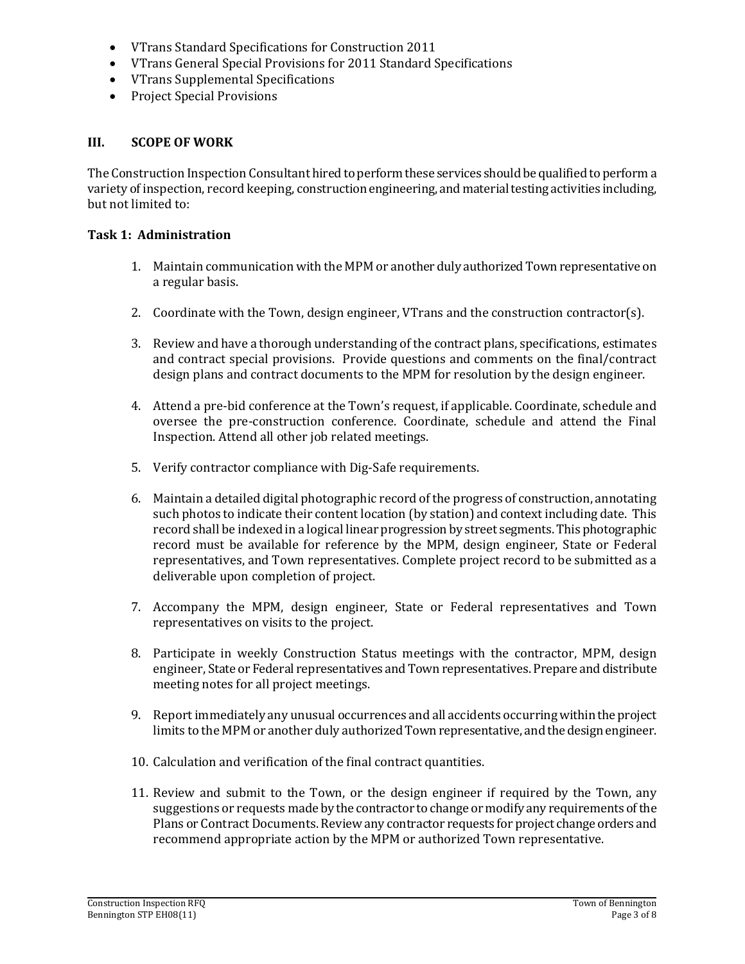- VTrans Standard Specifications for Construction 2011
- VTrans General Special Provisions for 2011 Standard Specifications
- VTrans Supplemental Specifications
- Project Special Provisions

#### **III. SCOPE OF WORK**

The Construction Inspection Consultant hired to perform these services should be qualified to perform a variety of inspection, record keeping, construction engineering, and material testing activities including, but not limited to:

#### **Task 1: Administration**

- 1. Maintain communication with the MPM or another duly authorized Town representative on a regular basis.
- 2. Coordinate with the Town, design engineer, VTrans and the construction contractor(s).
- 3. Review and have a thorough understanding of the contract plans, specifications, estimates and contract special provisions. Provide questions and comments on the final/contract design plans and contract documents to the MPM for resolution by the design engineer.
- 4. Attend a pre-bid conference at the Town's request, if applicable. Coordinate, schedule and oversee the pre-construction conference. Coordinate, schedule and attend the Final Inspection. Attend all other job related meetings.
- 5. Verify contractor compliance with Dig-Safe requirements.
- 6. Maintain a detailed digital photographic record of the progress of construction, annotating such photos to indicate their content location (by station) and context including date. This record shall be indexed in a logical linear progression by street segments. This photographic record must be available for reference by the MPM, design engineer, State or Federal representatives, and Town representatives. Complete project record to be submitted as a deliverable upon completion of project.
- 7. Accompany the MPM, design engineer, State or Federal representatives and Town representatives on visits to the project.
- 8. Participate in weekly Construction Status meetings with the contractor, MPM, design engineer, State or Federal representatives and Town representatives. Prepare and distribute meeting notes for all project meetings.
- 9. Report immediately any unusual occurrences and all accidents occurring within the project limits to the MPM or another duly authorized Town representative, and the design engineer.
- 10. Calculation and verification of the final contract quantities.
- 11. Review and submit to the Town, or the design engineer if required by the Town, any suggestions or requests made by the contractor to change or modify any requirements of the Plans or Contract Documents. Review any contractor requests for project change orders and recommend appropriate action by the MPM or authorized Town representative.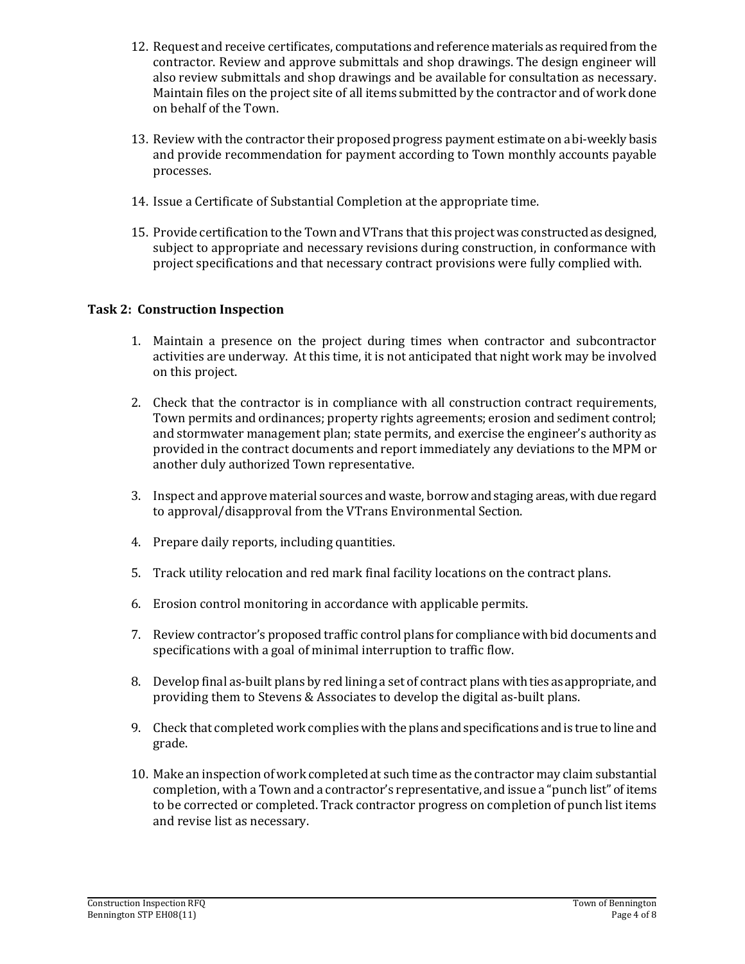- 12. Request and receive certificates, computations and reference materials as required from the contractor. Review and approve submittals and shop drawings. The design engineer will also review submittals and shop drawings and be available for consultation as necessary. Maintain files on the project site of all items submitted by the contractor and of work done on behalf of the Town.
- 13. Review with the contractor their proposed progress payment estimate on a bi-weekly basis and provide recommendation for payment according to Town monthly accounts payable processes.
- 14. Issue a Certificate of Substantial Completion at the appropriate time.
- 15. Provide certification to the Town and VTrans that this project was constructed as designed, subject to appropriate and necessary revisions during construction, in conformance with project specifications and that necessary contract provisions were fully complied with.

#### **Task 2: Construction Inspection**

- 1. Maintain a presence on the project during times when contractor and subcontractor activities are underway. At this time, it is not anticipated that night work may be involved on this project.
- 2. Check that the contractor is in compliance with all construction contract requirements, Town permits and ordinances; property rights agreements; erosion and sediment control; and stormwater management plan; state permits, and exercise the engineer's authority as provided in the contract documents and report immediately any deviations to the MPM or another duly authorized Town representative.
- 3. Inspect and approve material sources and waste, borrow and staging areas, with due regard to approval/disapproval from the VTrans Environmental Section.
- 4. Prepare daily reports, including quantities.
- 5. Track utility relocation and red mark final facility locations on the contract plans.
- 6. Erosion control monitoring in accordance with applicable permits.
- 7. Review contractor's proposed traffic control plans for compliance with bid documents and specifications with a goal of minimal interruption to traffic flow.
- 8. Develop final as-built plans by red lining a set of contract plans with ties as appropriate, and providing them to Stevens & Associates to develop the digital as-built plans.
- 9. Check that completed work complies with the plans and specifications and is true to line and grade.
- 10. Make an inspection of work completed at such time as the contractor may claim substantial completion, with a Town and a contractor's representative, and issue a "punch list" of items to be corrected or completed. Track contractor progress on completion of punch list items and revise list as necessary.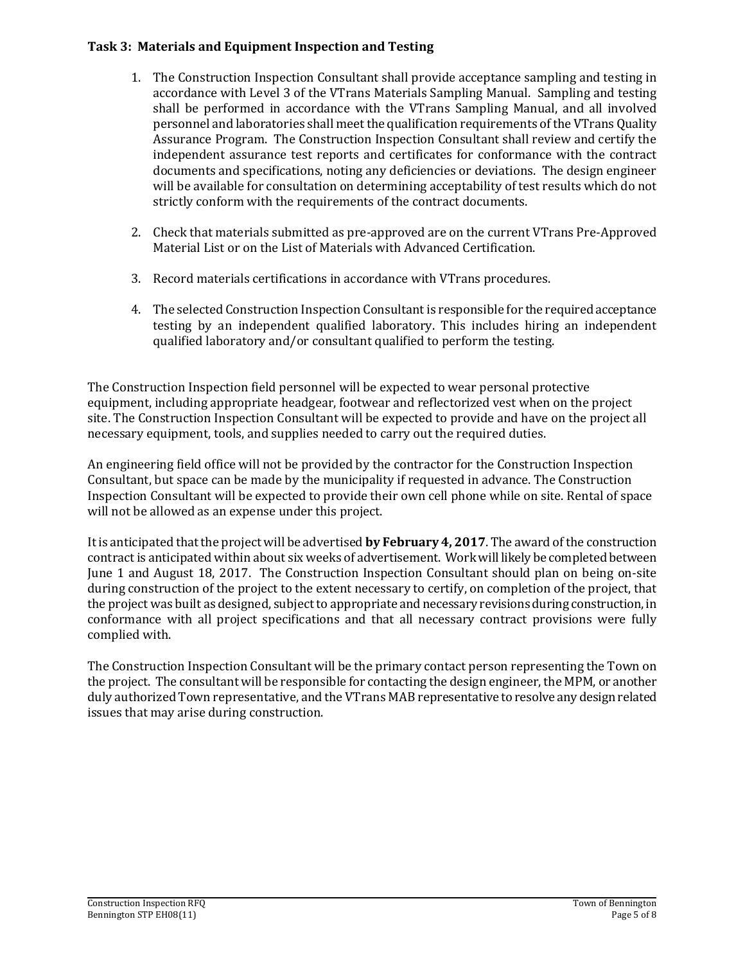#### **Task 3: Materials and Equipment Inspection and Testing**

- 1. The Construction Inspection Consultant shall provide acceptance sampling and testing in accordance with Level 3 of the VTrans Materials Sampling Manual. Sampling and testing shall be performed in accordance with the VTrans Sampling Manual, and all involved personnel and laboratories shall meet the qualification requirements of the VTrans Quality Assurance Program. The Construction Inspection Consultant shall review and certify the independent assurance test reports and certificates for conformance with the contract documents and specifications, noting any deficiencies or deviations. The design engineer will be available for consultation on determining acceptability of test results which do not strictly conform with the requirements of the contract documents.
- 2. Check that materials submitted as pre-approved are on the current VTrans Pre-Approved Material List or on the List of Materials with Advanced Certification.
- 3. Record materials certifications in accordance with VTrans procedures.
- 4. The selected Construction Inspection Consultant is responsible for the required acceptance testing by an independent qualified laboratory. This includes hiring an independent qualified laboratory and/or consultant qualified to perform the testing.

The Construction Inspection field personnel will be expected to wear personal protective equipment, including appropriate headgear, footwear and reflectorized vest when on the project site. The Construction Inspection Consultant will be expected to provide and have on the project all necessary equipment, tools, and supplies needed to carry out the required duties.

An engineering field office will not be provided by the contractor for the Construction Inspection Consultant, but space can be made by the municipality if requested in advance. The Construction Inspection Consultant will be expected to provide their own cell phone while on site. Rental of space will not be allowed as an expense under this project.

It is anticipated that the project will be advertised **by February 4, 2017**. The award of the construction contract is anticipated within about six weeks of advertisement. Work will likely be completed between June 1 and August 18, 2017. The Construction Inspection Consultant should plan on being on-site during construction of the project to the extent necessary to certify, on completion of the project, that the project was built as designed, subject to appropriate and necessary revisions during construction, in conformance with all project specifications and that all necessary contract provisions were fully complied with.

The Construction Inspection Consultant will be the primary contact person representing the Town on the project. The consultant will be responsible for contacting the design engineer, the MPM, or another duly authorized Town representative, and the VTrans MAB representative to resolve any design related issues that may arise during construction.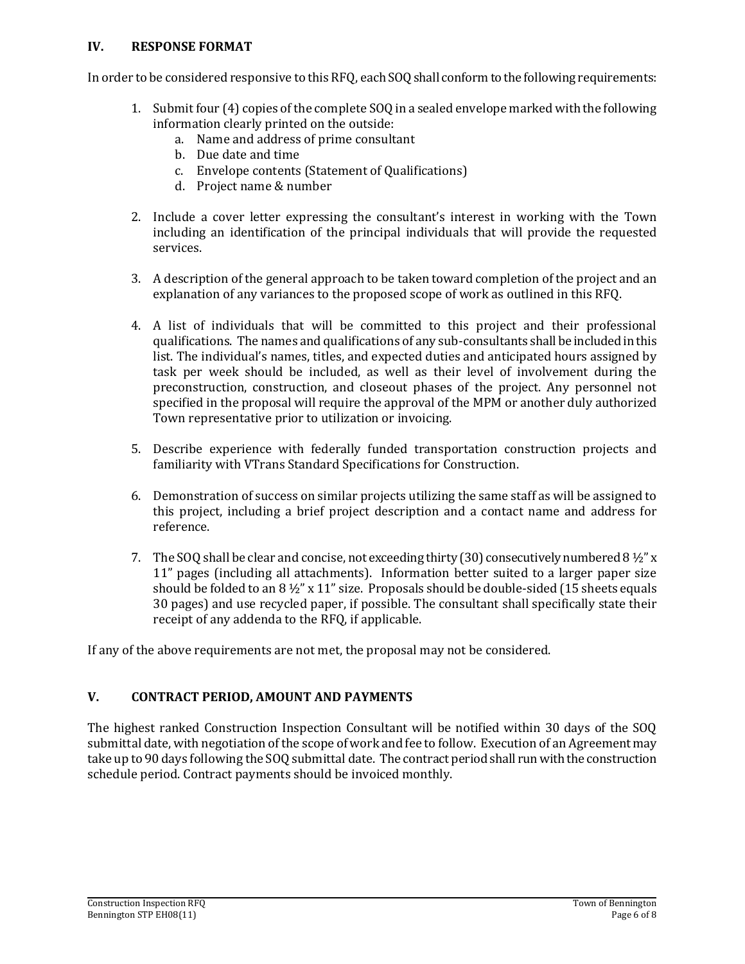#### **IV. RESPONSE FORMAT**

In order to be considered responsive to this RFQ, each SOQ shall conform to the following requirements:

- 1. Submit four (4) copies of the complete SOQ in a sealed envelope marked with the following information clearly printed on the outside:
	- a. Name and address of prime consultant
	- b. Due date and time
	- c. Envelope contents (Statement of Qualifications)
	- d. Project name & number
- 2. Include a cover letter expressing the consultant's interest in working with the Town including an identification of the principal individuals that will provide the requested services.
- 3. A description of the general approach to be taken toward completion of the project and an explanation of any variances to the proposed scope of work as outlined in this RFQ.
- 4. A list of individuals that will be committed to this project and their professional qualifications. The names and qualifications of any sub-consultants shall be included in this list. The individual's names, titles, and expected duties and anticipated hours assigned by task per week should be included, as well as their level of involvement during the preconstruction, construction, and closeout phases of the project. Any personnel not specified in the proposal will require the approval of the MPM or another duly authorized Town representative prior to utilization or invoicing.
- 5. Describe experience with federally funded transportation construction projects and familiarity with VTrans Standard Specifications for Construction.
- 6. Demonstration of success on similar projects utilizing the same staff as will be assigned to this project, including a brief project description and a contact name and address for reference.
- 7. The SOQ shall be clear and concise, not exceeding thirty (30) consecutively numbered 8  $\frac{1}{2}$  x  $\frac{1}{2}$ 11" pages (including all attachments). Information better suited to a larger paper size should be folded to an  $8\frac{1}{2}$ " x 11" size. Proposals should be double-sided (15 sheets equals 30 pages) and use recycled paper, if possible. The consultant shall specifically state their receipt of any addenda to the RFQ, if applicable.

If any of the above requirements are not met, the proposal may not be considered.

## **V. CONTRACT PERIOD, AMOUNT AND PAYMENTS**

The highest ranked Construction Inspection Consultant will be notified within 30 days of the SOQ submittal date, with negotiation of the scope of work and fee to follow. Execution of an Agreement may take up to 90 days following the SOQ submittal date. The contract period shall run with the construction schedule period. Contract payments should be invoiced monthly.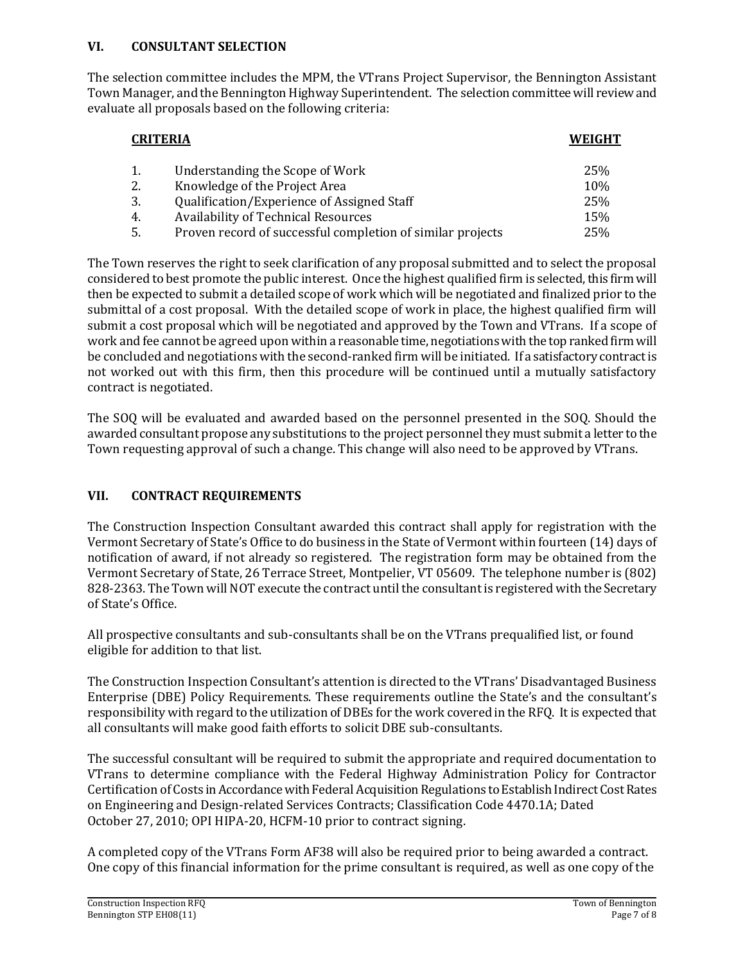#### **VI. CONSULTANT SELECTION**

The selection committee includes the MPM, the VTrans Project Supervisor, the Bennington Assistant Town Manager, and the Bennington Highway Superintendent. The selection committee will review and evaluate all proposals based on the following criteria:

| <b>CRITERIA</b> |                                                            | WEIGHT |
|-----------------|------------------------------------------------------------|--------|
|                 | Understanding the Scope of Work                            | 25%    |
| 2.              | Knowledge of the Project Area                              | 10%    |
| 3.              | Qualification/Experience of Assigned Staff                 | 25%    |
| 4.              | <b>Availability of Technical Resources</b>                 | 15%    |
|                 | Proven record of successful completion of similar projects | 25%    |

The Town reserves the right to seek clarification of any proposal submitted and to select the proposal considered to best promote the public interest. Once the highest qualified firm is selected, this firm will then be expected to submit a detailed scope of work which will be negotiated and finalized prior to the submittal of a cost proposal. With the detailed scope of work in place, the highest qualified firm will submit a cost proposal which will be negotiated and approved by the Town and VTrans. If a scope of work and fee cannot be agreed upon within a reasonable time, negotiations with the top ranked firm will be concluded and negotiations with the second-ranked firm will be initiated. If a satisfactory contract is not worked out with this firm, then this procedure will be continued until a mutually satisfactory contract is negotiated.

The SOQ will be evaluated and awarded based on the personnel presented in the SOQ. Should the awarded consultant propose any substitutions to the project personnel they must submit a letter to the Town requesting approval of such a change. This change will also need to be approved by VTrans.

## **VII. CONTRACT REQUIREMENTS**

The Construction Inspection Consultant awarded this contract shall apply for registration with the Vermont Secretary of State's Office to do business in the State of Vermont within fourteen (14) days of notification of award, if not already so registered. The registration form may be obtained from the Vermont Secretary of State, 26 Terrace Street, Montpelier, VT 05609. The telephone number is (802) 828-2363. The Town will NOT execute the contract until the consultant is registered with the Secretary of State's Office.

All prospective consultants and sub-consultants shall be on the VTrans prequalified list, or found eligible for addition to that list.

The Construction Inspection Consultant's attention is directed to the VTrans' Disadvantaged Business Enterprise (DBE) Policy Requirements. These requirements outline the State's and the consultant's responsibility with regard to the utilization of DBEs for the work covered in the RFQ. It is expected that all consultants will make good faith efforts to solicit DBE sub-consultants.

The successful consultant will be required to submit the appropriate and required documentation to VTrans to determine compliance with the Federal Highway Administration Policy for Contractor Certification of Costs in Accordance with Federal Acquisition Regulations to Establish Indirect Cost Rates on Engineering and Design-related Services Contracts; Classification Code 4470.1A; Dated October 27, 2010; OPI HIPA-20, HCFM-10 prior to contract signing.

A completed copy of the VTrans Form AF38 will also be required prior to being awarded a contract. One copy of this financial information for the prime consultant is required, as well as one copy of the